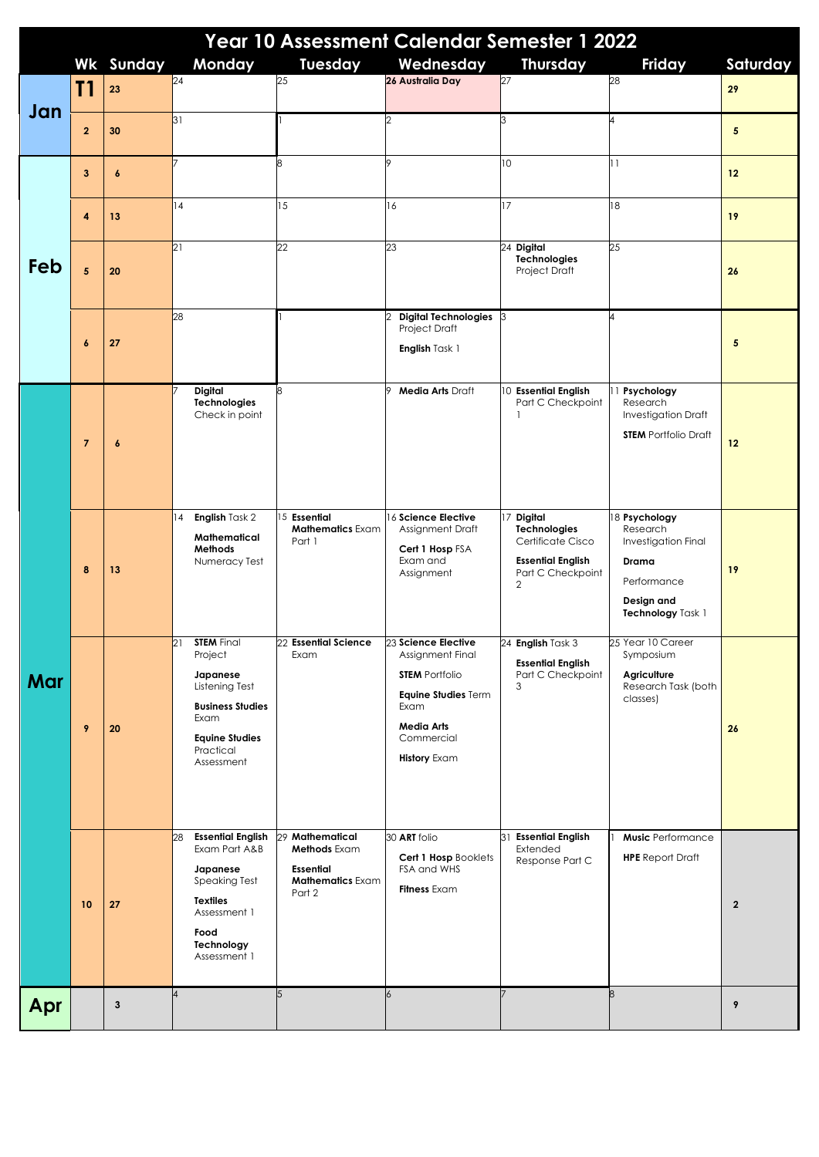| Year 10 Assessment Calendar Semester 1 2022 |                |                  |                                                                                                                                                              |                                                                                          |                                                                                                                                    |                                                                                                              |                                                                                                             |                |  |  |
|---------------------------------------------|----------------|------------------|--------------------------------------------------------------------------------------------------------------------------------------------------------------|------------------------------------------------------------------------------------------|------------------------------------------------------------------------------------------------------------------------------------|--------------------------------------------------------------------------------------------------------------|-------------------------------------------------------------------------------------------------------------|----------------|--|--|
|                                             |                | <b>Wk Sunday</b> | Monday<br>$\overline{24}$                                                                                                                                    | Tuesday<br>25                                                                            | Wednesday<br>26 Australia Day                                                                                                      | <b>Thursday</b><br>27                                                                                        | Friday<br>28                                                                                                | Saturday       |  |  |
|                                             | T1             | 23               |                                                                                                                                                              |                                                                                          |                                                                                                                                    |                                                                                                              |                                                                                                             | 29             |  |  |
| Jan                                         | $\mathbf{2}$   | 30               | 31                                                                                                                                                           |                                                                                          | $\overline{2}$                                                                                                                     | 3                                                                                                            | 4                                                                                                           | 5              |  |  |
| Feb                                         | 3              | $\boldsymbol{6}$ |                                                                                                                                                              | 8                                                                                        | Q                                                                                                                                  | 10                                                                                                           | 11                                                                                                          | 12             |  |  |
|                                             | 4              | 13               | 4                                                                                                                                                            | 15                                                                                       | 16                                                                                                                                 | 17                                                                                                           | 18                                                                                                          | 19             |  |  |
|                                             | $\overline{5}$ | 20               | 21                                                                                                                                                           | 22                                                                                       | 23                                                                                                                                 | 24 Digital<br>Technologies<br>Project Draft                                                                  | 25                                                                                                          | 26             |  |  |
|                                             | 6              | 27               | 28                                                                                                                                                           |                                                                                          | Digital Technologies 3<br><b>Project Draft</b><br>English Task 1                                                                   |                                                                                                              | 4                                                                                                           | 5              |  |  |
| Mar                                         | $\overline{7}$ | $\boldsymbol{6}$ | <b>Digital</b><br><b>Technologies</b><br>Check in point                                                                                                      | 8                                                                                        | <b>Media Arts Draft</b>                                                                                                            | 10 Essential English<br>Part C Checkpoint                                                                    | 11 Psychology<br>Research<br>Investigation Draft<br><b>STEM</b> Portfolio Draft                             | 12             |  |  |
|                                             | 8              | 13               | English Task 2<br> 4<br>Mathematical<br>Methods<br>Numeracy Test                                                                                             | 15 Essential<br><b>Mathematics Exam</b><br>Part 1                                        | 16 Science Elective<br>Assignment Draft<br>Cert 1 Hosp FSA<br>Exam and<br>Assignment                                               | 17 Digital<br><b>Technologies</b><br>Certificate Cisco<br><b>Essential English</b><br>Part C Checkpoint<br>2 | 18 Psychology<br>Research<br>Investigation Final<br>Drama<br>Performance<br>Design and<br>Technology Task 1 | 19             |  |  |
|                                             | 9              | 20               | 21<br><b>STEM</b> Final<br>Project<br>Japanese<br>Listening Test<br><b>Business Studies</b><br>Exam<br><b>Equine Studies</b><br>Practical<br>Assessment      | 22 Essential Science 23 Science Elective<br>Exam                                         | Assignment Final<br><b>STEM Portfolio</b><br>Equine Studies Term<br>Exam<br><b>Media Arts</b><br>Commercial<br><b>History Exam</b> | 24 English Task 3<br><b>Essential English</b><br>Part C Checkpoint<br>3                                      | 25 Year 10 Career<br>Symposium<br>Agriculture<br>Research Task (both<br>classes)                            | 26             |  |  |
|                                             | 10             | 27               | <b>Essential English</b><br>28<br>Exam Part A&B<br>Japanese<br><b>Speaking Test</b><br><b>Textiles</b><br>Assessment 1<br>Food<br>Technology<br>Assessment 1 | 29 Mathematical<br>Methods Exam<br><b>Essential</b><br><b>Mathematics Exam</b><br>Part 2 | 30 ART folio<br>Cert 1 Hosp Booklets<br>FSA and WHS<br><b>Fitness</b> Exam                                                         | 31 Essential English<br>Extended<br>Response Part C                                                          | <b>Music</b> Performance<br><b>HPE</b> Report Draft                                                         | $\overline{2}$ |  |  |
| Apr                                         |                | $\mathbf{3}$     | 4                                                                                                                                                            | 5                                                                                        | $\overline{6}$                                                                                                                     |                                                                                                              | 8                                                                                                           | 9              |  |  |